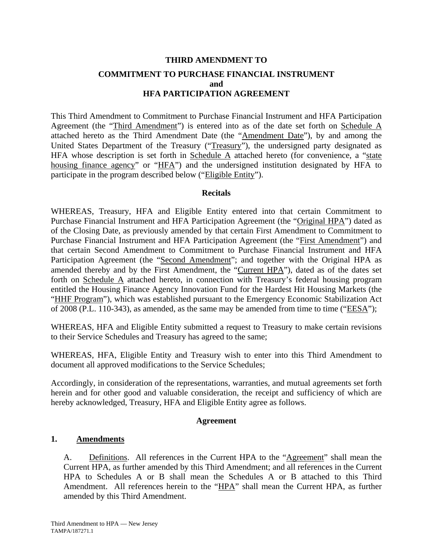# **THIRD AMENDMENT TO COMMITMENT TO PURCHASE FINANCIAL INSTRUMENT and HFA PARTICIPATION AGREEMENT**

This Third Amendment to Commitment to Purchase Financial Instrument and HFA Participation Agreement (the "Third Amendment") is entered into as of the date set forth on Schedule A attached hereto as the Third Amendment Date (the "Amendment Date"), by and among the United States Department of the Treasury ("Treasury"), the undersigned party designated as HFA whose description is set forth in Schedule  $\overline{A}$  attached hereto (for convenience, a "state housing finance agency" or "HFA") and the undersigned institution designated by HFA to participate in the program described below ("Eligible Entity").

### **Recitals**

WHEREAS, Treasury, HFA and Eligible Entity entered into that certain Commitment to Purchase Financial Instrument and HFA Participation Agreement (the "Original HPA") dated as of the Closing Date, as previously amended by that certain First Amendment to Commitment to Purchase Financial Instrument and HFA Participation Agreement (the "First Amendment") and that certain Second Amendment to Commitment to Purchase Financial Instrument and HFA Participation Agreement (the "Second Amendment"; and together with the Original HPA as amended thereby and by the First Amendment, the "Current HPA"), dated as of the dates set forth on Schedule A attached hereto, in connection with Treasury's federal housing program entitled the Housing Finance Agency Innovation Fund for the Hardest Hit Housing Markets (the "HHF Program"), which was established pursuant to the Emergency Economic Stabilization Act of 2008 (P.L. 110-343), as amended, as the same may be amended from time to time ("EESA");

WHEREAS, HFA and Eligible Entity submitted a request to Treasury to make certain revisions to their Service Schedules and Treasury has agreed to the same;

WHEREAS, HFA, Eligible Entity and Treasury wish to enter into this Third Amendment to document all approved modifications to the Service Schedules;

Accordingly, in consideration of the representations, warranties, and mutual agreements set forth herein and for other good and valuable consideration, the receipt and sufficiency of which are hereby acknowledged, Treasury, HFA and Eligible Entity agree as follows.

### **Agreement**

## **1. Amendments**

A. Definitions. All references in the Current HPA to the "Agreement" shall mean the Current HPA, as further amended by this Third Amendment; and all references in the Current HPA to Schedules A or B shall mean the Schedules A or B attached to this Third Amendment. All references herein to the "HPA" shall mean the Current HPA, as further amended by this Third Amendment.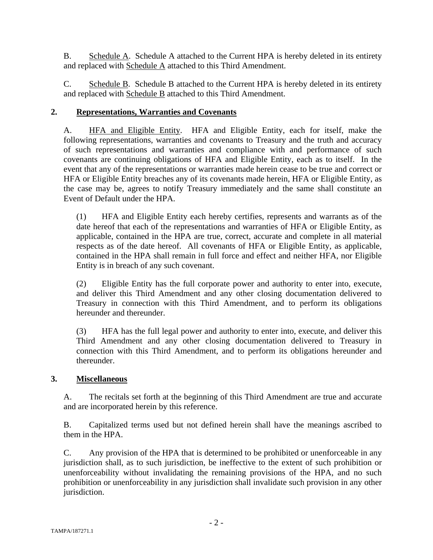B. Schedule A. Schedule A attached to the Current HPA is hereby deleted in its entirety and replaced with Schedule A attached to this Third Amendment.

C. Schedule B. Schedule B attached to the Current HPA is hereby deleted in its entirety and replaced with Schedule B attached to this Third Amendment.

## **2. Representations, Warranties and Covenants**

A. HFA and Eligible Entity. HFA and Eligible Entity, each for itself, make the following representations, warranties and covenants to Treasury and the truth and accuracy of such representations and warranties and compliance with and performance of such covenants are continuing obligations of HFA and Eligible Entity, each as to itself. In the event that any of the representations or warranties made herein cease to be true and correct or HFA or Eligible Entity breaches any of its covenants made herein, HFA or Eligible Entity, as the case may be, agrees to notify Treasury immediately and the same shall constitute an Event of Default under the HPA.

(1) HFA and Eligible Entity each hereby certifies, represents and warrants as of the date hereof that each of the representations and warranties of HFA or Eligible Entity, as applicable, contained in the HPA are true, correct, accurate and complete in all material respects as of the date hereof. All covenants of HFA or Eligible Entity, as applicable, contained in the HPA shall remain in full force and effect and neither HFA, nor Eligible Entity is in breach of any such covenant.

(2) Eligible Entity has the full corporate power and authority to enter into, execute, and deliver this Third Amendment and any other closing documentation delivered to Treasury in connection with this Third Amendment, and to perform its obligations hereunder and thereunder.

(3) HFA has the full legal power and authority to enter into, execute, and deliver this Third Amendment and any other closing documentation delivered to Treasury in connection with this Third Amendment, and to perform its obligations hereunder and thereunder.

## **3. Miscellaneous**

A. The recitals set forth at the beginning of this Third Amendment are true and accurate and are incorporated herein by this reference.

B. Capitalized terms used but not defined herein shall have the meanings ascribed to them in the HPA.

C. Any provision of the HPA that is determined to be prohibited or unenforceable in any jurisdiction shall, as to such jurisdiction, be ineffective to the extent of such prohibition or unenforceability without invalidating the remaining provisions of the HPA, and no such prohibition or unenforceability in any jurisdiction shall invalidate such provision in any other jurisdiction.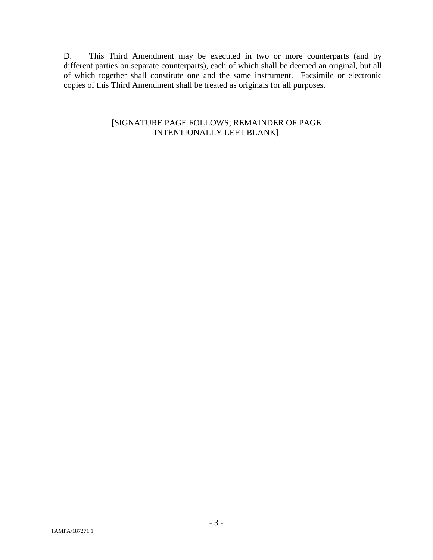D. This Third Amendment may be executed in two or more counterparts (and by different parties on separate counterparts), each of which shall be deemed an original, but all of which together shall constitute one and the same instrument. Facsimile or electronic copies of this Third Amendment shall be treated as originals for all purposes.

## [SIGNATURE PAGE FOLLOWS; REMAINDER OF PAGE INTENTIONALLY LEFT BLANK]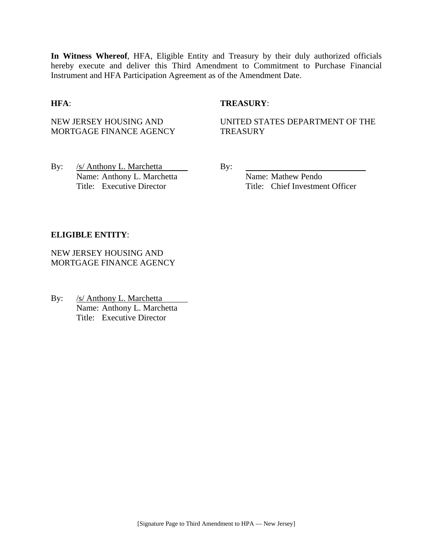**In Witness Whereof**, HFA, Eligible Entity and Treasury by their duly authorized officials hereby execute and deliver this Third Amendment to Commitment to Purchase Financial Instrument and HFA Participation Agreement as of the Amendment Date.

#### **HFA**: **TREASURY**:

NEW JERSEY HOUSING AND MORTGAGE FINANCE AGENCY UNITED STATES DEPARTMENT OF THE **TREASURY** 

By: /s/ Anthony L. Marchetta By: Name: Anthony L. Marchetta Name: Mathew Pendo

Title: Executive Director Title: Chief Investment Officer

### **ELIGIBLE ENTITY**:

NEW JERSEY HOUSING AND MORTGAGE FINANCE AGENCY

By: /s/ Anthony L. Marchetta Name: Anthony L. Marchetta Title: Executive Director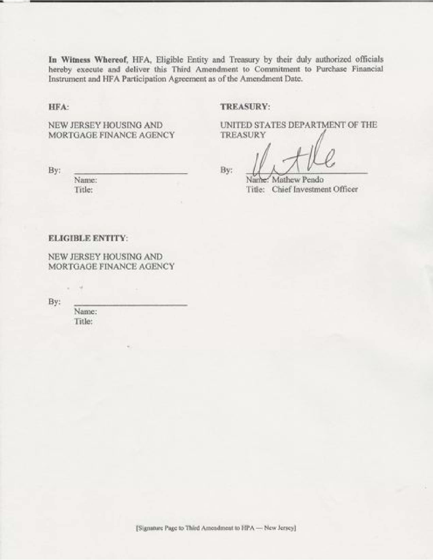In Witness Whereof, HFA, Eligible Entity and Treasury by their duly authorized officials hereby execute and deliver this Third Amendment to Commitment to Purchase Financial Instrument and HFA Participation Agreement as of the Amendment Date.

HFA:

#### TREASURY:

NEW JERSEY HOUSING AND MORTGAGE FINANCE AGENCY

By:

Name: Title:

UNITED STATES DEPARTMENT OF THE **TREASURY** 

By:

Mathew Pendo Nam Title: Chief Investment Officer

#### **ELIGIBLE ENTITY:**

NEW JERSEY HOUSING AND MORTGAGE FINANCE AGENCY

By:

Name: Title:

[Signature Page to Third Amendment to HPA - New Jersey]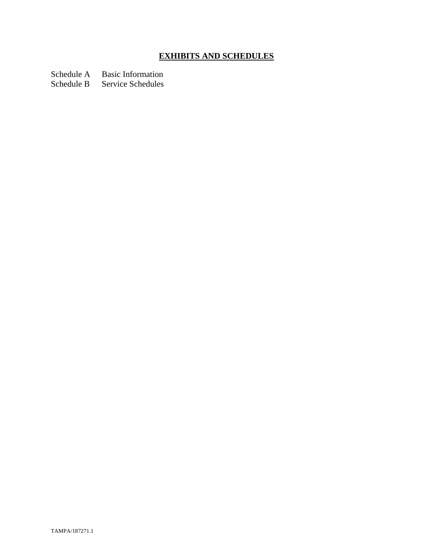# **EXHIBITS AND SCHEDULES**

Schedule A Basic Information

Schedule B Service Schedules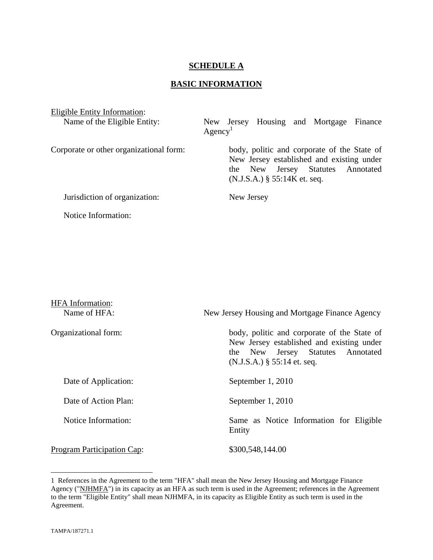### **SCHEDULE A**

## **BASIC INFORMATION**

| Eligible Entity Information:            |                                                                                                                                                                 |
|-----------------------------------------|-----------------------------------------------------------------------------------------------------------------------------------------------------------------|
| Name of the Eligible Entity:            | New Jersey Housing and Mortgage Finance<br>Agency <sup>1</sup>                                                                                                  |
| Corporate or other organizational form: | body, politic and corporate of the State of<br>New Jersey established and existing under<br>the New Jersey Statutes Annotated<br>$(N.J.S.A.)$ § 55:14K et. seq. |
| Jurisdiction of organization:           | New Jersey                                                                                                                                                      |
| Notice Information:                     |                                                                                                                                                                 |

| <b>HFA</b> Information:<br>Name of HFA: | New Jersey Housing and Mortgage Finance Agency                                                                                                                 |
|-----------------------------------------|----------------------------------------------------------------------------------------------------------------------------------------------------------------|
| Organizational form:                    | body, politic and corporate of the State of<br>New Jersey established and existing under<br>the New Jersey Statutes Annotated<br>$(N.J.S.A.)$ § 55:14 et. seq. |
| Date of Application:                    | September 1, 2010                                                                                                                                              |
| Date of Action Plan:                    | September 1, 2010                                                                                                                                              |
| Notice Information:                     | Same as Notice Information for Eligible<br>Entity                                                                                                              |
| <b>Program Participation Cap:</b>       | \$300,548,144.00                                                                                                                                               |

<sup>1</sup> References in the Agreement to the term "HFA" shall mean the New Jersey Housing and Mortgage Finance Agency ("NJHMFA") in its capacity as an HFA as such term is used in the Agreement; references in the Agreement to the term "Eligible Entity" shall mean NJHMFA, in its capacity as Eligible Entity as such term is used in the Agreement.

<u>.</u>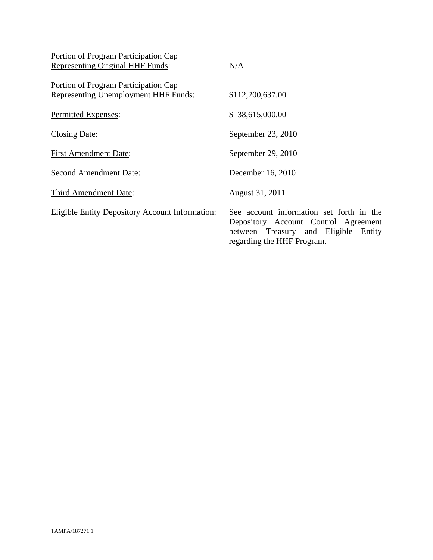| Portion of Program Participation Cap                   |                                                                                                                                                        |
|--------------------------------------------------------|--------------------------------------------------------------------------------------------------------------------------------------------------------|
| <b>Representing Original HHF Funds:</b>                | N/A                                                                                                                                                    |
| Portion of Program Participation Cap                   |                                                                                                                                                        |
| <b>Representing Unemployment HHF Funds:</b>            | \$112,200,637.00                                                                                                                                       |
| Permitted Expenses:                                    | \$38,615,000.00                                                                                                                                        |
| <b>Closing Date:</b>                                   | September 23, 2010                                                                                                                                     |
| <b>First Amendment Date:</b>                           | September 29, 2010                                                                                                                                     |
| <b>Second Amendment Date:</b>                          | December 16, 2010                                                                                                                                      |
| Third Amendment Date:                                  | August 31, 2011                                                                                                                                        |
| <b>Eligible Entity Depository Account Information:</b> | See account information set forth in the<br>Depository Account Control Agreement<br>between Treasury and Eligible Entity<br>regarding the HHF Program. |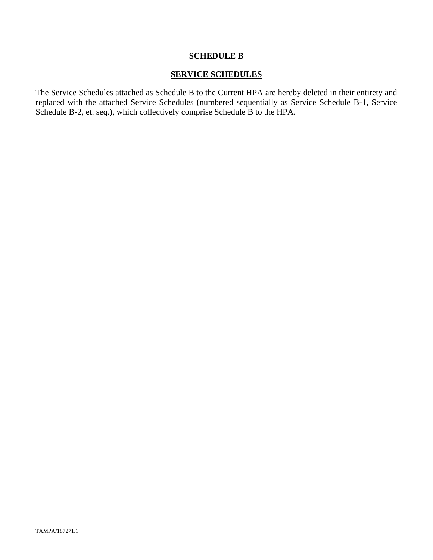## **SCHEDULE B**

## **SERVICE SCHEDULES**

The Service Schedules attached as Schedule B to the Current HPA are hereby deleted in their entirety and replaced with the attached Service Schedules (numbered sequentially as Service Schedule B-1, Service Schedule B-2, et. seq.), which collectively comprise Schedule B to the HPA.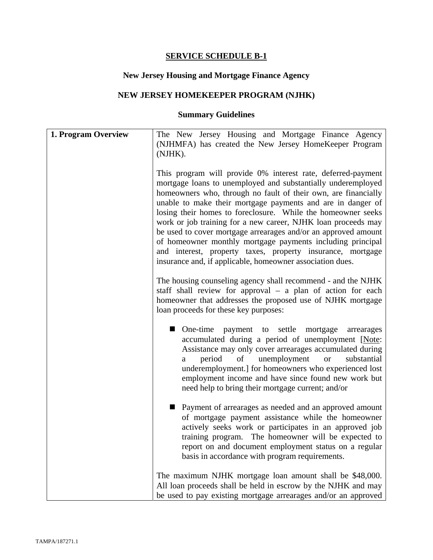## **SERVICE SCHEDULE B-1**

# **New Jersey Housing and Mortgage Finance Agency**

# **NEW JERSEY HOMEKEEPER PROGRAM (NJHK)**

# **Summary Guidelines**

| 1. Program Overview | The New Jersey Housing and Mortgage Finance Agency                                                                                                                                                                                                                                                                                                                                                                                                                                                                                                                                                                                                        |
|---------------------|-----------------------------------------------------------------------------------------------------------------------------------------------------------------------------------------------------------------------------------------------------------------------------------------------------------------------------------------------------------------------------------------------------------------------------------------------------------------------------------------------------------------------------------------------------------------------------------------------------------------------------------------------------------|
|                     | (NJHMFA) has created the New Jersey HomeKeeper Program<br>(NJHK).                                                                                                                                                                                                                                                                                                                                                                                                                                                                                                                                                                                         |
|                     | This program will provide 0% interest rate, deferred-payment<br>mortgage loans to unemployed and substantially underemployed<br>homeowners who, through no fault of their own, are financially<br>unable to make their mortgage payments and are in danger of<br>losing their homes to foreclosure. While the homeowner seeks<br>work or job training for a new career, NJHK loan proceeds may<br>be used to cover mortgage arrearages and/or an approved amount<br>of homeowner monthly mortgage payments including principal<br>and interest, property taxes, property insurance, mortgage<br>insurance and, if applicable, homeowner association dues. |
|                     | The housing counseling agency shall recommend - and the NJHK<br>staff shall review for approval – a plan of action for each<br>homeowner that addresses the proposed use of NJHK mortgage<br>loan proceeds for these key purposes:                                                                                                                                                                                                                                                                                                                                                                                                                        |
|                     | • One-time payment to settle mortgage<br>arrearages<br>accumulated during a period of unemployment [Note:<br>Assistance may only cover arrearages accumulated during<br>unemployment<br>period<br>of<br>substantial<br><b>or</b><br>a<br>underemployment.] for homeowners who experienced lost<br>employment income and have since found new work but<br>need help to bring their mortgage current; and/or                                                                                                                                                                                                                                                |
|                     | ■ Payment of arrearages as needed and an approved amount<br>of mortgage payment assistance while the homeowner<br>actively seeks work or participates in an approved job<br>training program. The homeowner will be expected to<br>report on and document employment status on a regular<br>basis in accordance with program requirements.                                                                                                                                                                                                                                                                                                                |
|                     | The maximum NJHK mortgage loan amount shall be \$48,000.<br>All loan proceeds shall be held in escrow by the NJHK and may<br>be used to pay existing mortgage arrearages and/or an approved                                                                                                                                                                                                                                                                                                                                                                                                                                                               |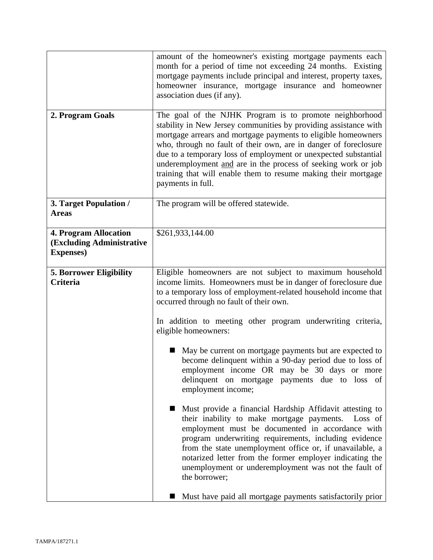|                                                                                | amount of the homeowner's existing mortgage payments each<br>month for a period of time not exceeding 24 months. Existing<br>mortgage payments include principal and interest, property taxes,<br>homeowner insurance, mortgage insurance and homeowner<br>association dues (if any).                                                                                                                                                                                                       |
|--------------------------------------------------------------------------------|---------------------------------------------------------------------------------------------------------------------------------------------------------------------------------------------------------------------------------------------------------------------------------------------------------------------------------------------------------------------------------------------------------------------------------------------------------------------------------------------|
| 2. Program Goals                                                               | The goal of the NJHK Program is to promote neighborhood<br>stability in New Jersey communities by providing assistance with<br>mortgage arrears and mortgage payments to eligible homeowners<br>who, through no fault of their own, are in danger of foreclosure<br>due to a temporary loss of employment or unexpected substantial<br>underemployment and are in the process of seeking work or job<br>training that will enable them to resume making their mortgage<br>payments in full. |
| 3. Target Population /<br><b>Areas</b>                                         | The program will be offered statewide.                                                                                                                                                                                                                                                                                                                                                                                                                                                      |
| <b>4. Program Allocation</b><br>(Excluding Administrative<br><b>Expenses</b> ) | \$261,933,144.00                                                                                                                                                                                                                                                                                                                                                                                                                                                                            |
| <b>5. Borrower Eligibility</b><br>Criteria                                     | Eligible homeowners are not subject to maximum household<br>income limits. Homeowners must be in danger of foreclosure due<br>to a temporary loss of employment-related household income that<br>occurred through no fault of their own.                                                                                                                                                                                                                                                    |
|                                                                                | In addition to meeting other program underwriting criteria,<br>eligible homeowners:                                                                                                                                                                                                                                                                                                                                                                                                         |
|                                                                                | May be current on mortgage payments but are expected to<br>become delinquent within a 90-day period due to loss of<br>employment income OR may be 30 days or more<br>delinquent on mortgage payments due to loss of<br>employment income;                                                                                                                                                                                                                                                   |
|                                                                                | Must provide a financial Hardship Affidavit attesting to<br>their inability to make mortgage payments.<br>Loss of<br>employment must be documented in accordance with<br>program underwriting requirements, including evidence<br>from the state unemployment office or, if unavailable, a<br>notarized letter from the former employer indicating the<br>unemployment or underemployment was not the fault of<br>the borrower;                                                             |
|                                                                                | Must have paid all mortgage payments satisfactorily prior                                                                                                                                                                                                                                                                                                                                                                                                                                   |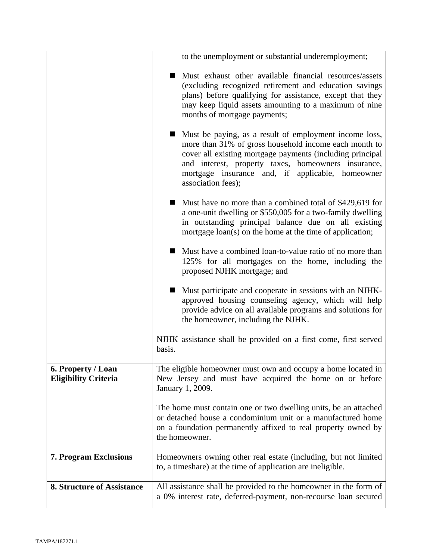|                                                   | to the unemployment or substantial underemployment;                                                                                                                                                                                                                                                           |
|---------------------------------------------------|---------------------------------------------------------------------------------------------------------------------------------------------------------------------------------------------------------------------------------------------------------------------------------------------------------------|
|                                                   | Must exhaust other available financial resources/assets<br>(excluding recognized retirement and education savings<br>plans) before qualifying for assistance, except that they<br>may keep liquid assets amounting to a maximum of nine<br>months of mortgage payments;                                       |
|                                                   | Must be paying, as a result of employment income loss,<br>more than 31% of gross household income each month to<br>cover all existing mortgage payments (including principal<br>and interest, property taxes, homeowners insurance,<br>mortgage insurance and, if applicable, homeowner<br>association fees); |
|                                                   | Must have no more than a combined total of \$429,619 for<br>a one-unit dwelling or \$550,005 for a two-family dwelling<br>in outstanding principal balance due on all existing<br>mortgage loan(s) on the home at the time of application;                                                                    |
|                                                   | Must have a combined loan-to-value ratio of no more than<br>125% for all mortgages on the home, including the<br>proposed NJHK mortgage; and                                                                                                                                                                  |
|                                                   | Must participate and cooperate in sessions with an NJHK-<br>approved housing counseling agency, which will help<br>provide advice on all available programs and solutions for<br>the homeowner, including the NJHK.                                                                                           |
|                                                   | NJHK assistance shall be provided on a first come, first served<br>basis.                                                                                                                                                                                                                                     |
| 6. Property / Loan<br><b>Eligibility Criteria</b> | The eligible homeowner must own and occupy a home located in<br>New Jersey and must have acquired the home on or before<br>January 1, 2009.                                                                                                                                                                   |
|                                                   | The home must contain one or two dwelling units, be an attached<br>or detached house a condominium unit or a manufactured home<br>on a foundation permanently affixed to real property owned by<br>the homeowner.                                                                                             |
| <b>7. Program Exclusions</b>                      | Homeowners owning other real estate (including, but not limited<br>to, a timeshare) at the time of application are ineligible.                                                                                                                                                                                |
| <b>8. Structure of Assistance</b>                 | All assistance shall be provided to the homeowner in the form of<br>a 0% interest rate, deferred-payment, non-recourse loan secured                                                                                                                                                                           |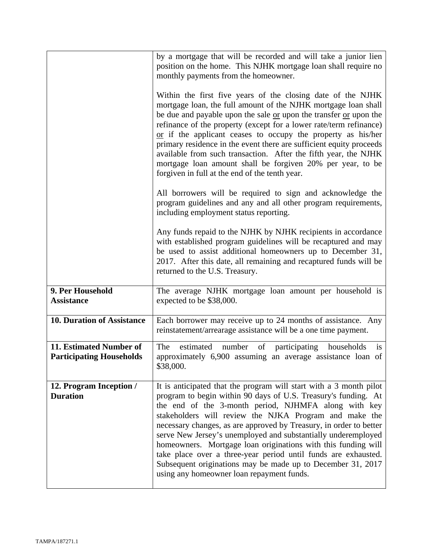|                                                            | by a mortgage that will be recorded and will take a junior lien<br>position on the home. This NJHK mortgage loan shall require no<br>monthly payments from the homeowner.                                                                                                                                                                                                                                                                                                                                                                                                                                                                    |
|------------------------------------------------------------|----------------------------------------------------------------------------------------------------------------------------------------------------------------------------------------------------------------------------------------------------------------------------------------------------------------------------------------------------------------------------------------------------------------------------------------------------------------------------------------------------------------------------------------------------------------------------------------------------------------------------------------------|
|                                                            | Within the first five years of the closing date of the NJHK<br>mortgage loan, the full amount of the NJHK mortgage loan shall<br>be due and payable upon the sale or upon the transfer or upon the<br>refinance of the property (except for a lower rate/term refinance)<br>$or$ if the applicant ceases to occupy the property as his/her<br>primary residence in the event there are sufficient equity proceeds<br>available from such transaction. After the fifth year, the NJHK<br>mortgage loan amount shall be forgiven 20% per year, to be<br>forgiven in full at the end of the tenth year.                                         |
|                                                            | All borrowers will be required to sign and acknowledge the<br>program guidelines and any and all other program requirements,<br>including employment status reporting.                                                                                                                                                                                                                                                                                                                                                                                                                                                                       |
|                                                            | Any funds repaid to the NJHK by NJHK recipients in accordance<br>with established program guidelines will be recaptured and may<br>be used to assist additional homeowners up to December 31,<br>2017. After this date, all remaining and recaptured funds will be<br>returned to the U.S. Treasury.                                                                                                                                                                                                                                                                                                                                         |
| 9. Per Household<br><b>Assistance</b>                      | The average NJHK mortgage loan amount per household is<br>expected to be \$38,000.                                                                                                                                                                                                                                                                                                                                                                                                                                                                                                                                                           |
| <b>10. Duration of Assistance</b>                          | Each borrower may receive up to 24 months of assistance. Any<br>reinstatement/arrearage assistance will be a one time payment.                                                                                                                                                                                                                                                                                                                                                                                                                                                                                                               |
| 11. Estimated Number of<br><b>Participating Households</b> | estimated<br>The<br>number<br>of<br>participating<br>households<br>is<br>approximately 6,900 assuming an average assistance loan of<br>\$38,000.                                                                                                                                                                                                                                                                                                                                                                                                                                                                                             |
| 12. Program Inception /<br><b>Duration</b>                 | It is anticipated that the program will start with a 3 month pilot<br>program to begin within 90 days of U.S. Treasury's funding. At<br>the end of the 3-month period, NJHMFA along with key<br>stakeholders will review the NJKA Program and make the<br>necessary changes, as are approved by Treasury, in order to better<br>serve New Jersey's unemployed and substantially underemployed<br>homeowners. Mortgage loan originations with this funding will<br>take place over a three-year period until funds are exhausted.<br>Subsequent originations may be made up to December 31, 2017<br>using any homeowner loan repayment funds. |